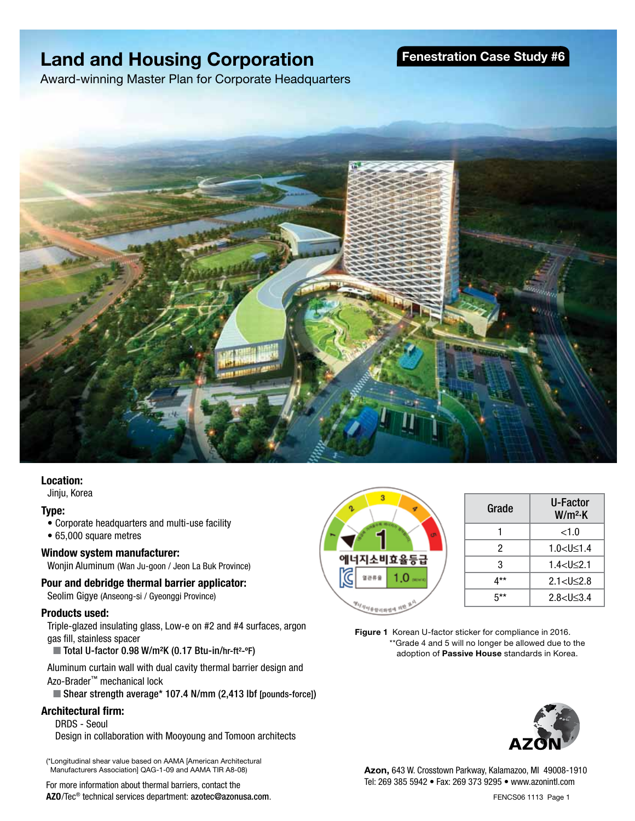## **Land and Housing Corporation**

**Fenestration Case Study #6**

Award-winning Master Plan for Corporate Headquarters



#### **Location:**

Jinju, Korea

#### **Type:**

- Corporate headquarters and multi-use facility
- 65,000 square metres

#### **Window system manufacturer:**

Wonjin Aluminum (Wan Ju-goon / Jeon La Buk Province)

#### **Pour and debridge thermal barrier applicator:**

Seolim Gigye (Anseong-si / Gyeonggi Province)

#### **Products used:**

Triple-glazed insulating glass, Low-e on #2 and #4 surfaces, argon gas fill, stainless spacer

■ Total U-factor 0.98 W/m<sup>2</sup>K (0.17 Btu-in/hr-ft<sup>2</sup>-°F)

Aluminum curtain wall with dual cavity thermal barrier design and Azo-Brader™ mechanical lock

■ Shear strength average\* 107.4 N/mm (2,413 lbf [pounds-force])

#### **Architectural firm:**

DRDS - Seoul Design in collaboration with Mooyoung and Tomoon architects

(\*Longitudinal shear value based on AAMA [American Architectural Manufacturers Association] QAG-1-09 and AAMA TIR A8-08)

For more information about thermal barriers, contact the **AZO**/Tec® technical services department: azotec@azonusa.com.



| Grade | U-Factor<br>W/m <sup>2</sup> ·K |
|-------|---------------------------------|
|       | ${<}1.0$                        |
| 2     | $1.0 < U \le 1.4$               |
| 3     | $1.4$ cl $\leq$ 2.1             |
| $4**$ | $2.1 < U \leq 2.8$              |
| 5**   | 2.8 < I < 3.4                   |

**Figure 1** Korean U-factor sticker for compliance in 2016. \*\*Grade 4 and 5 will no longer be allowed due to the adoption of **Passive House** standards in Korea.



**Azon,** 643 W. Crosstown Parkway, Kalamazoo, MI 49008-1910 Tel: 269 385 5942 • Fax: 269 373 9295 • www.azonintl.com